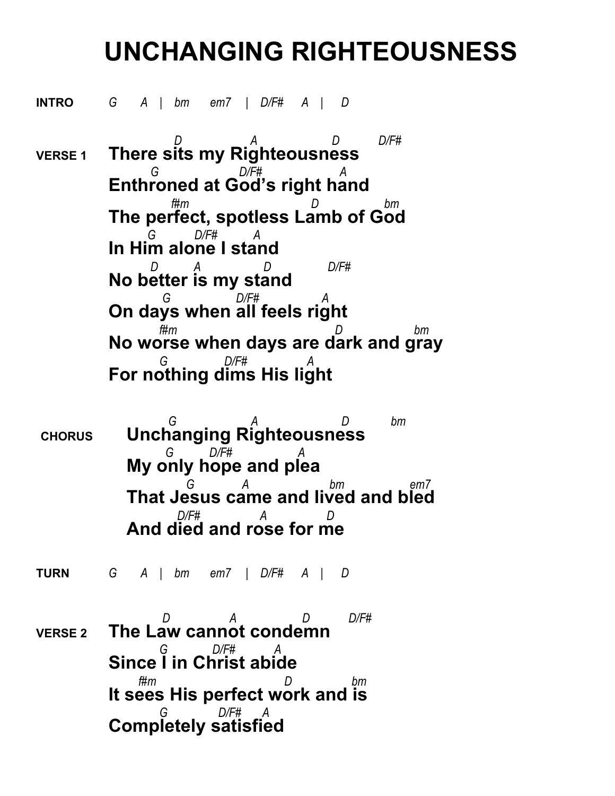## **UNCHANGING RIGHTEOUSNESS**

**INTRO** *G A | bm em7 | D/F# A | D* 

 *D A D D/F#*  **VERSE 1 There sits my Righteousness**  *G D/F# A* **Enthroned at God's right hand**  *f#m D bm* **The perfect, spotless Lamb of God**  *G D/F# A* **In Him alone I stand**  *D A D D/F#* **No better is my stand**  *G D/F# A* **On days when all feels right**  *f#m D bm* **No worse when days are dark and gray** *G D/F# A* **For nothing dims His light**

 *G A D bm* **CHORUS Unchanging Righteousness**  *G D/F# A* **My only hope and plea**  *G A bm em7* **That Jesus came and lived and bled** *D/F# A D* **And died and rose for me**

**TURN** *G A | bm em7 | D/F# A | D* 

 *D A D D/F#*  **VERSE 2 The Law cannot condemn** *G D/F# A* **Since I in Christ abide** *f#m D bm* **It sees His perfect work and is** *G D/F# A* **Completely satisfied**